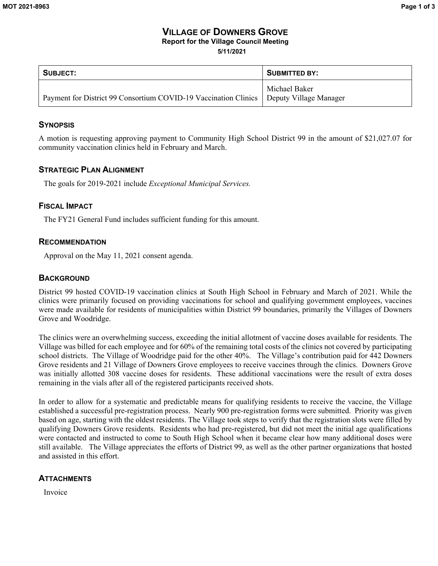#### **VILLAGE OF DOWNERS GROVE Report for the Village Council Meeting**

**5/11/2021**

| SUBJECT:                                                                                 | <b>SUBMITTED BY:</b> |  |  |
|------------------------------------------------------------------------------------------|----------------------|--|--|
| Payment for District 99 Consortium COVID-19 Vaccination Clinics   Deputy Village Manager | Michael Baker        |  |  |

### **SYNOPSIS**

A motion is requesting approving payment to Community High School District 99 in the amount of \$21,027.07 for community vaccination clinics held in February and March.

### **STRATEGIC PLAN ALIGNMENT**

The goals for 2019-2021 include *Exceptional Municipal Services.* 

### **FISCAL IMPACT**

The FY21 General Fund includes sufficient funding for this amount.

### **RECOMMENDATION**

Approval on the May 11, 2021 consent agenda.

### **BACKGROUND**

District 99 hosted COVID-19 vaccination clinics at South High School in February and March of 2021. While the clinics were primarily focused on providing vaccinations for school and qualifying government employees, vaccines were made available for residents of municipalities within District 99 boundaries, primarily the Villages of Downers Grove and Woodridge.

The clinics were an overwhelming success, exceeding the initial allotment of vaccine doses available for residents. The Village was billed for each employee and for 60% of the remaining total costs of the clinics not covered by participating school districts. The Village of Woodridge paid for the other 40%. The Village's contribution paid for 442 Downers Grove residents and 21 Village of Downers Grove employees to receive vaccines through the clinics. Downers Grove was initially allotted 308 vaccine doses for residents. These additional vaccinations were the result of extra doses remaining in the vials after all of the registered participants received shots.

In order to allow for a systematic and predictable means for qualifying residents to receive the vaccine, the Village established a successful pre-registration process. Nearly 900 pre-registration forms were submitted. Priority was given based on age, starting with the oldest residents. The Village took steps to verify that the registration slots were filled by qualifying Downers Grove residents. Residents who had pre-registered, but did not meet the initial age qualifications were contacted and instructed to come to South High School when it became clear how many additional doses were still available. The Village appreciates the efforts of District 99, as well as the other partner organizations that hosted and assisted in this effort.

### **ATTACHMENTS**

Invoice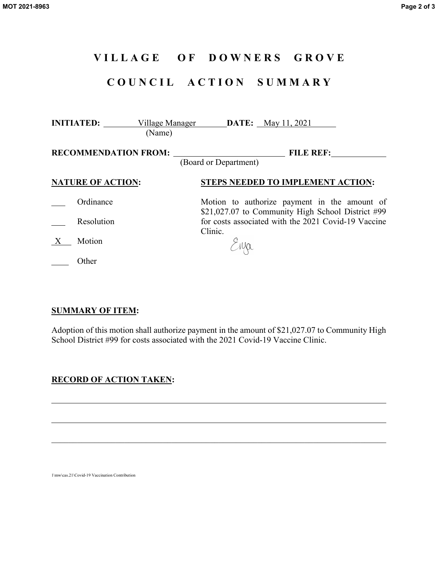# **V I L L A G E O F D O W N E R S G R O V E**

# **C O U N C I L A C T I O N S U M M A R Y**

|                          | (Name) | <b>INITIATED:</b> Village Manager <b>DATE:</b> May 11, 2021                                       |
|--------------------------|--------|---------------------------------------------------------------------------------------------------|
|                          |        | <b>FILE REF:</b><br>(Board or Department)                                                         |
| <b>NATURE OF ACTION:</b> |        | <b>STEPS NEEDED TO IMPLEMENT ACTION:</b>                                                          |
| Ordinance                |        | Motion to authorize payment in the amount of<br>\$21,027.07 to Community High School District #99 |
| Resolution               |        | for costs associated with the 2021 Covid-19 Vaccine<br>Clinic.                                    |
| Motion                   |        | Snja                                                                                              |
| Other                    |        |                                                                                                   |

### **SUMMARY OF ITEM:**

Adoption of this motion shall authorize payment in the amount of \$21,027.07 to Community High School District #99 for costs associated with the 2021 Covid-19 Vaccine Clinic.

\_\_\_\_\_\_\_\_\_\_\_\_\_\_\_\_\_\_\_\_\_\_\_\_\_\_\_\_\_\_\_\_\_\_\_\_\_\_\_\_\_\_\_\_\_\_\_\_\_\_\_\_\_\_\_\_\_\_\_\_\_\_\_\_\_\_\_\_\_\_\_\_\_\_\_\_\_\_

## **RECORD OF ACTION TAKEN:**

1\mw\cas.21\Covid-19 Vaccination Contribution